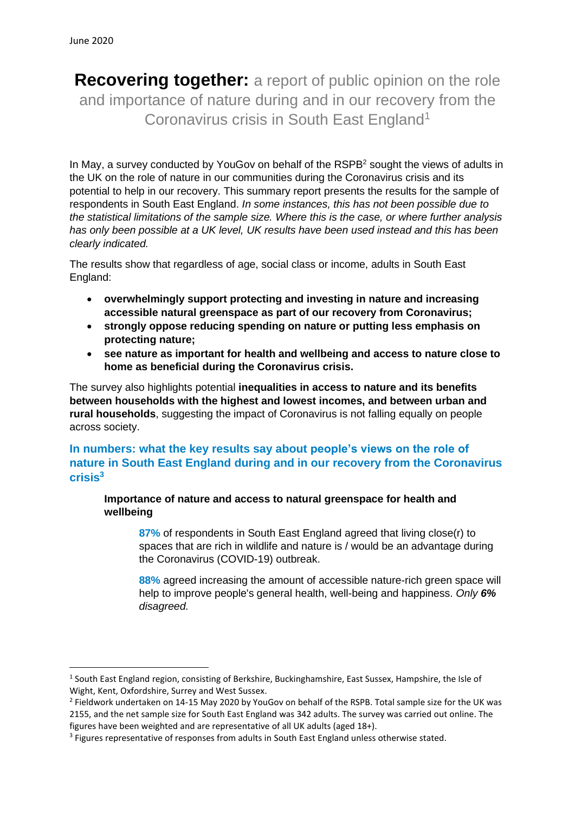**Recovering together:** a report of public opinion on the role and importance of nature during and in our recovery from the Coronavirus crisis in South East England<sup>1</sup>

In May, a survey conducted by YouGoy on behalf of the RSPB<sup>2</sup> sought the views of adults in the UK on the role of nature in our communities during the Coronavirus crisis and its potential to help in our recovery. This summary report presents the results for the sample of respondents in South East England. *In some instances, this has not been possible due to the statistical limitations of the sample size. Where this is the case, or where further analysis has only been possible at a UK level, UK results have been used instead and this has been clearly indicated.*

The results show that regardless of age, social class or income, adults in South East England:

- **overwhelmingly support protecting and investing in nature and increasing accessible natural greenspace as part of our recovery from Coronavirus;**
- **strongly oppose reducing spending on nature or putting less emphasis on protecting nature;**
- **see nature as important for health and wellbeing and access to nature close to home as beneficial during the Coronavirus crisis.**

The survey also highlights potential **inequalities in access to nature and its benefits between households with the highest and lowest incomes, and between urban and rural households**, suggesting the impact of Coronavirus is not falling equally on people across society.

# **In numbers: what the key results say about people's views on the role of nature in South East England during and in our recovery from the Coronavirus crisis 3**

**Importance of nature and access to natural greenspace for health and wellbeing**

**87%** of respondents in South East England agreed that living close(r) to spaces that are rich in wildlife and nature is / would be an advantage during the Coronavirus (COVID-19) outbreak.

**88%** agreed increasing the amount of accessible nature-rich green space will help to improve people's general health, well-being and happiness. *Only 6% disagreed.*

<sup>&</sup>lt;sup>1</sup> South East England region, consisting of Berkshire, Buckinghamshire, East Sussex, Hampshire, the Isle of Wight, Kent, Oxfordshire, Surrey and West Sussex.

<sup>&</sup>lt;sup>2</sup> Fieldwork undertaken on 14-15 May 2020 by YouGov on behalf of the RSPB. Total sample size for the UK was 2155, and the net sample size for South East England was 342 adults. The survey was carried out online. The figures have been weighted and are representative of all UK adults (aged 18+).

<sup>&</sup>lt;sup>3</sup> Figures representative of responses from adults in South East England unless otherwise stated.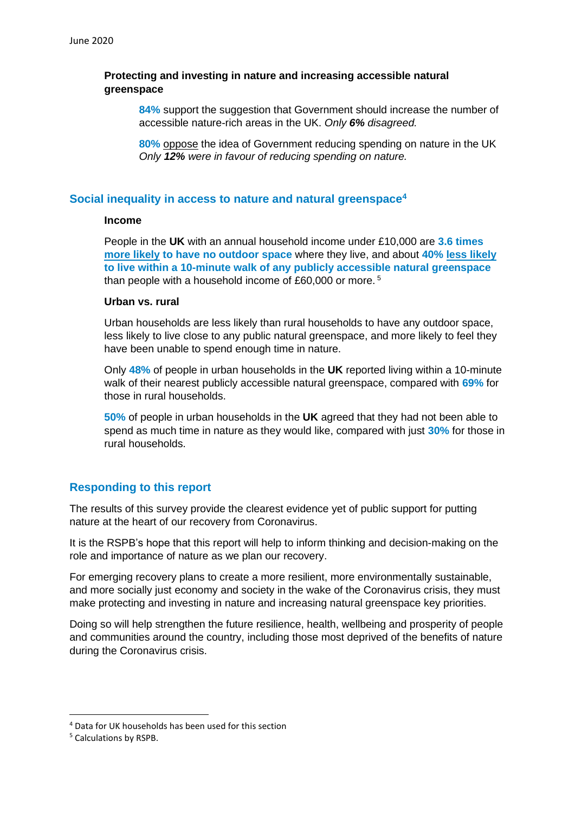### **Protecting and investing in nature and increasing accessible natural greenspace**

**84%** support the suggestion that Government should increase the number of accessible nature-rich areas in the UK. *Only 6% disagreed.*

**80%** oppose the idea of Government reducing spending on nature in the UK *Only 12% were in favour of reducing spending on nature.*

### **Social inequality in access to nature and natural greenspace<sup>4</sup>**

#### **Income**

People in the **UK** with an annual household income under £10,000 are **3.6 times more likely to have no outdoor space** where they live, and about **40% less likely to live within a 10-minute walk of any publicly accessible natural greenspace** than people with a household income of £60,000 or more. <sup>5</sup>

### **Urban vs. rural**

Urban households are less likely than rural households to have any outdoor space, less likely to live close to any public natural greenspace, and more likely to feel they have been unable to spend enough time in nature.

Only **48%** of people in urban households in the **UK** reported living within a 10-minute walk of their nearest publicly accessible natural greenspace, compared with **69%** for those in rural households.

**50%** of people in urban households in the **UK** agreed that they had not been able to spend as much time in nature as they would like, compared with just **30%** for those in rural households.

## **Responding to this report**

The results of this survey provide the clearest evidence yet of public support for putting nature at the heart of our recovery from Coronavirus.

It is the RSPB's hope that this report will help to inform thinking and decision-making on the role and importance of nature as we plan our recovery.

For emerging recovery plans to create a more resilient, more environmentally sustainable, and more socially just economy and society in the wake of the Coronavirus crisis, they must make protecting and investing in nature and increasing natural greenspace key priorities.

Doing so will help strengthen the future resilience, health, wellbeing and prosperity of people and communities around the country, including those most deprived of the benefits of nature during the Coronavirus crisis.

<sup>4</sup> Data for UK households has been used for this section

<sup>5</sup> Calculations by RSPB.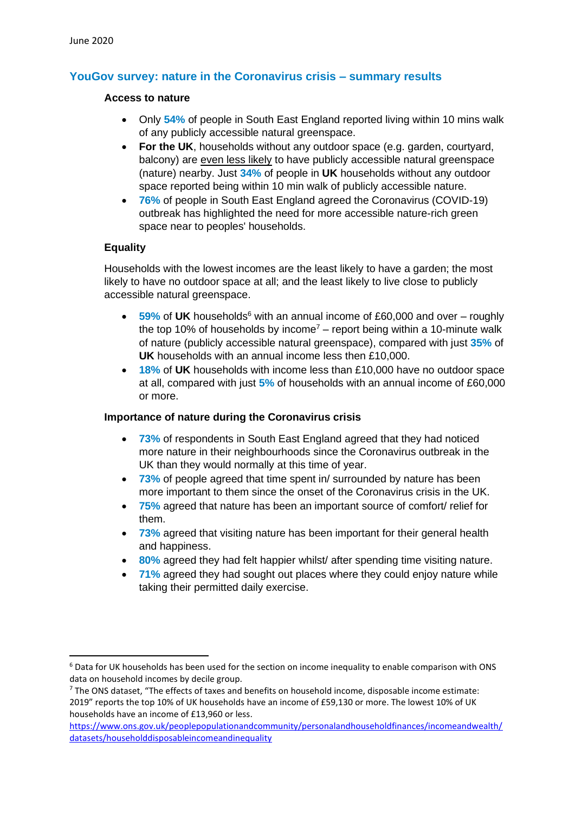# **YouGov survey: nature in the Coronavirus crisis – summary results**

#### **Access to nature**

- Only **54%** of people in South East England reported living within 10 mins walk of any publicly accessible natural greenspace.
- **For the UK**, households without any outdoor space (e.g. garden, courtyard, balcony) are even less likely to have publicly accessible natural greenspace (nature) nearby. Just **34%** of people in **UK** households without any outdoor space reported being within 10 min walk of publicly accessible nature.
- **76%** of people in South East England agreed the Coronavirus (COVID-19) outbreak has highlighted the need for more accessible nature-rich green space near to peoples' households.

### **Equality**

Households with the lowest incomes are the least likely to have a garden; the most likely to have no outdoor space at all; and the least likely to live close to publicly accessible natural greenspace.

- 59% of UK households<sup>6</sup> with an annual income of £60,000 and over roughly the top 10% of households by income<sup>7</sup> – report being within a 10-minute walk of nature (publicly accessible natural greenspace), compared with just **35%** of **UK** households with an annual income less then £10,000.
- **18%** of **UK** households with income less than £10,000 have no outdoor space at all, compared with just **5%** of households with an annual income of £60,000 or more.

### **Importance of nature during the Coronavirus crisis**

- **73%** of respondents in South East England agreed that they had noticed more nature in their neighbourhoods since the Coronavirus outbreak in the UK than they would normally at this time of year.
- **73%** of people agreed that time spent in/ surrounded by nature has been more important to them since the onset of the Coronavirus crisis in the UK.
- **75%** agreed that nature has been an important source of comfort/ relief for them.
- **73%** agreed that visiting nature has been important for their general health and happiness.
- **80%** agreed they had felt happier whilst/ after spending time visiting nature.
- **71%** agreed they had sought out places where they could enjoy nature while taking their permitted daily exercise.

<sup>&</sup>lt;sup>6</sup> Data for UK households has been used for the section on income inequality to enable comparison with ONS data on household incomes by decile group.

 $7$  The ONS dataset, "The effects of taxes and benefits on household income, disposable income estimate: 2019" reports the top 10% of UK households have an income of £59,130 or more. The lowest 10% of UK households have an income of £13,960 or less.

[https://www.ons.gov.uk/peoplepopulationandcommunity/personalandhouseholdfinances/incomeandwealth/](https://www.ons.gov.uk/peoplepopulationandcommunity/personalandhouseholdfinances/incomeandwealth/datasets/householddisposableincomeandinequality) [datasets/householddisposableincomeandinequality](https://www.ons.gov.uk/peoplepopulationandcommunity/personalandhouseholdfinances/incomeandwealth/datasets/householddisposableincomeandinequality)